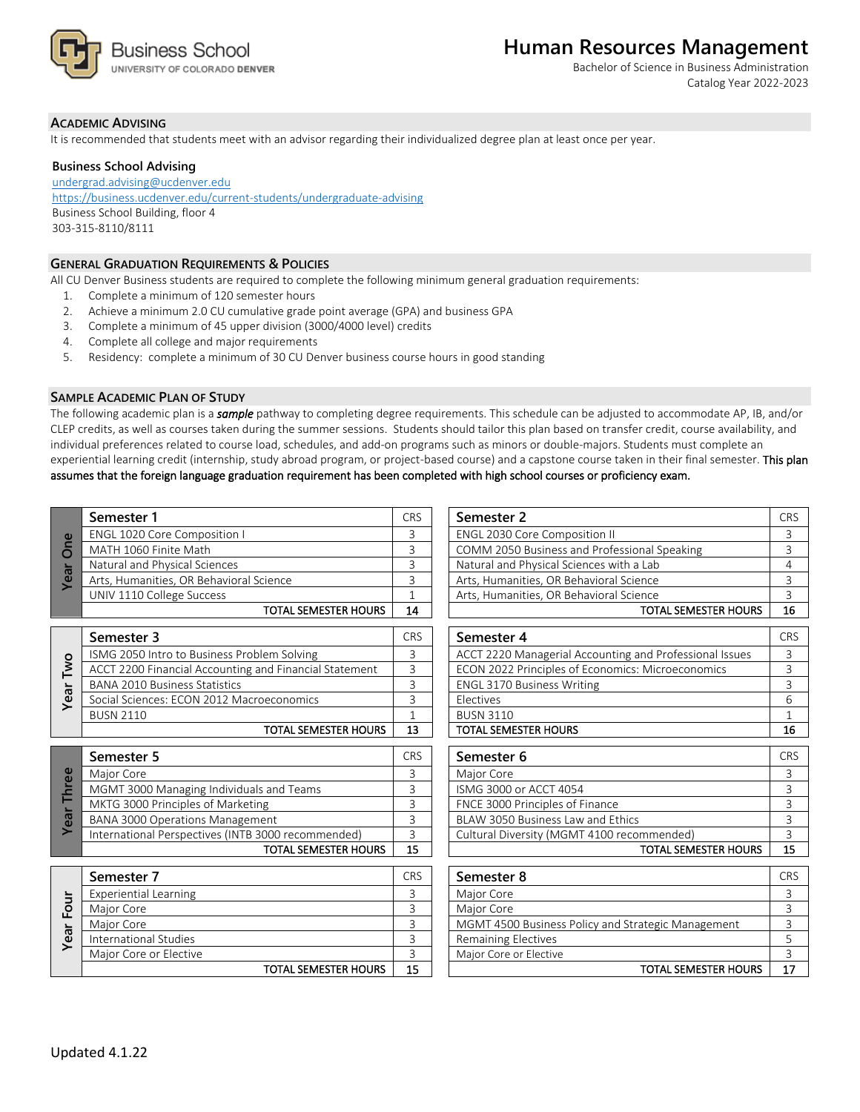

Bachelor of Science in Business Administration Catalog Year 2022-2023

### **ACADEMIC ADVISING**

It is recommended that students meet with an advisor regarding their individualized degree plan at least once per year.

#### **Business School Advising**

[undergrad.advising@ucdenver.edu](mailto:undergrad.advising@ucdenver.edu) <https://business.ucdenver.edu/current-students/undergraduate-advising> Business School Building, floor 4 303-315-8110/8111

## **GENERAL GRADUATION REQUIREMENTS & POLICIES**

All CU Denver Business students are required to complete the following minimum general graduation requirements:

- 1. Complete a minimum of 120 semester hours
- 2. Achieve a minimum 2.0 CU cumulative grade point average (GPA) and business GPA
- 3. Complete a minimum of 45 upper division (3000/4000 level) credits
- 4. Complete all college and major requirements
- 5. Residency: complete a minimum of 30 CU Denver business course hours in good standing

#### **SAMPLE ACADEMIC PLAN OF STUDY**

The following academic plan is a *sample* pathway to completing degree requirements. This schedule can be adjusted to accommodate AP, IB, and/or CLEP credits, as well as courses taken during the summer sessions. Students should tailor this plan based on transfer credit, course availability, and individual preferences related to course load, schedules, and add-on programs such as minors or double-majors. Students must complete an experiential learning credit (internship, study abroad program, or project-based course) and a capstone course taken in their final semester. This plan assumes that the foreign language graduation requirement has been completed with high school courses or proficiency exam.

| $\omega$<br>Yea | Semester 1                              | <b>CRS</b> |
|-----------------|-----------------------------------------|------------|
|                 | ENGL 1020 Core Composition I            |            |
|                 | MATH 1060 Finite Math                   |            |
|                 | Natural and Physical Sciences           |            |
|                 | Arts, Humanities, OR Behavioral Science |            |
|                 | UNIV 1110 College Success               |            |
|                 | SEMESTER HOURS                          |            |

| <b>DMJ</b><br>Year | Semester 3                                             |  |
|--------------------|--------------------------------------------------------|--|
|                    | ISMG 2050 Intro to Business Problem Solving            |  |
|                    | ACCT 2200 Financial Accounting and Financial Statement |  |
|                    | <b>BANA 2010 Business Statistics</b>                   |  |
|                    | Social Sciences: ECON 2012 Macroeconomics              |  |
|                    | <b>BUSN 2110</b>                                       |  |
|                    | TOTAL SEMESTER HOURS                                   |  |

|     | Semester 5                                         |  |
|-----|----------------------------------------------------|--|
| Φ   | Major Core                                         |  |
| hre | MGMT 3000 Managing Individuals and Teams           |  |
| Ē   | MKTG 3000 Principles of Marketing                  |  |
| Yea | <b>BANA 3000 Operations Management</b>             |  |
|     | International Perspectives (INTB 3000 recommended) |  |
|     | <b>TOTAL SEMESTER HOURS</b>                        |  |

| Four<br>Year I | Semester 7                   | CR <sup>s</sup> |
|----------------|------------------------------|-----------------|
|                | <b>Experiential Learning</b> |                 |
|                | Major Core                   |                 |
|                | Major Core                   |                 |
|                | International Studies        |                 |
|                | Major Core or Elective       |                 |
|                | <b>TOTAL SEMESTER HOURS</b>  |                 |

| Semester 1                              |    | Semester 2                                   | <b>CRS</b> |
|-----------------------------------------|----|----------------------------------------------|------------|
| <b>ENGL 1020 Core Composition I</b>     |    | <b>ENGL 2030 Core Composition II</b>         |            |
| MATH 1060 Finite Math                   |    | COMM 2050 Business and Professional Speaking |            |
| Natural and Physical Sciences           |    | Natural and Physical Sciences with a Lab     |            |
| Arts, Humanities, OR Behavioral Science |    | Arts, Humanities, OR Behavioral Science      |            |
| UNIV 1110 College Success               |    | Arts, Humanities, OR Behavioral Science      |            |
| TOTAL SEMESTER HOURS                    | 14 | <b>TOTAL SEMESTER HOURS</b>                  | 16         |

| Semester 3                                             |    | Semester 4                                              | <b>CRS</b> |
|--------------------------------------------------------|----|---------------------------------------------------------|------------|
| ISMG 2050 Intro to Business Problem Solving            |    | ACCT 2220 Managerial Accounting and Professional Issues |            |
| ACCT 2200 Financial Accounting and Financial Statement |    | ECON 2022 Principles of Economics: Microeconomics       |            |
| <b>BANA 2010 Business Statistics</b>                   |    | <b>ENGL 3170 Business Writing</b>                       |            |
| Social Sciences: ECON 2012 Macroeconomics              |    | Electives                                               |            |
| BUSN 2110                                              |    | <b>BUSN 3110</b>                                        |            |
| <b>TOTAL SEMESTER HOURS</b>                            | 13 | <b>TOTAL SEMESTER HOURS</b>                             |            |
|                                                        |    |                                                         |            |

| Semester 5                                         | <b>CRS</b> | Semester 6                                 | <b>CRS</b> |
|----------------------------------------------------|------------|--------------------------------------------|------------|
| Major Core                                         |            | Maior Core                                 |            |
| MGMT 3000 Managing Individuals and Teams           |            | ISMG 3000 or ACCT 4054                     |            |
| MKTG 3000 Principles of Marketing                  |            | FNCE 3000 Principles of Finance            |            |
| BANA 3000 Operations Management                    |            | BLAW 3050 Business Law and Ethics          |            |
| International Perspectives (INTB 3000 recommended) |            | Cultural Diversity (MGMT 4100 recommended) |            |
| <b>TOTAL SEMESTER HOURS</b>                        | 15         | TOTAL SEMESTER HOURS                       | 15         |

| Semester 7                   |    | Semester 8                                         | <b>CRS</b> |
|------------------------------|----|----------------------------------------------------|------------|
| <b>Experiential Learning</b> |    | Major Core                                         |            |
| Major Core                   |    | Maior Core                                         |            |
| Major Core                   |    | MGMT 4500 Business Policy and Strategic Management |            |
| International Studies        |    | <b>Remaining Electives</b>                         |            |
| Major Core or Elective       |    | Major Core or Elective                             |            |
| TOTAL SEMESTER HOURS         | 15 | TOTAL SEMESTER HOURS                               | 17         |